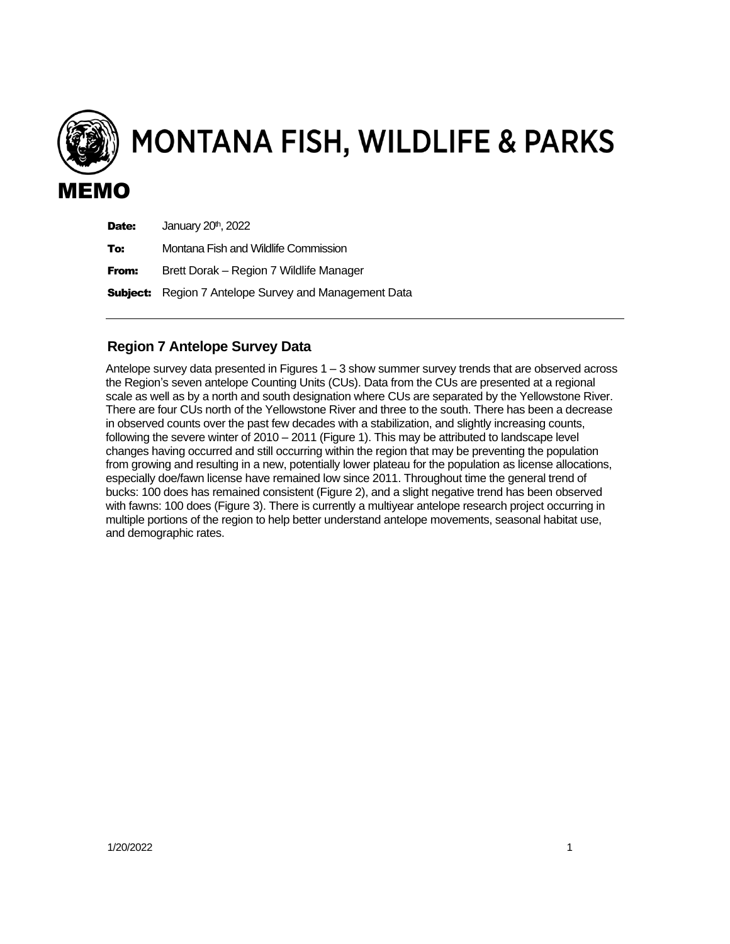

MONTANA FISH, WILDLIFE & PARKS

| Date: | January 20 <sup>th</sup> , 2022                              |
|-------|--------------------------------------------------------------|
| To:   | Montana Fish and Wildlife Commission                         |
| From: | Brett Dorak - Region 7 Wildlife Manager                      |
|       | <b>Subject:</b> Region 7 Antelope Survey and Management Data |

## **Region 7 Antelope Survey Data**

Antelope survey data presented in Figures  $1 - 3$  show summer survey trends that are observed across the Region's seven antelope Counting Units (CUs). Data from the CUs are presented at a regional scale as well as by a north and south designation where CUs are separated by the Yellowstone River. There are four CUs north of the Yellowstone River and three to the south. There has been a decrease in observed counts over the past few decades with a stabilization, and slightly increasing counts, following the severe winter of 2010 – 2011 (Figure 1). This may be attributed to landscape level changes having occurred and still occurring within the region that may be preventing the population from growing and resulting in a new, potentially lower plateau for the population as license allocations, especially doe/fawn license have remained low since 2011. Throughout time the general trend of bucks: 100 does has remained consistent (Figure 2), and a slight negative trend has been observed with fawns: 100 does (Figure 3). There is currently a multiyear antelope research project occurring in multiple portions of the region to help better understand antelope movements, seasonal habitat use, and demographic rates.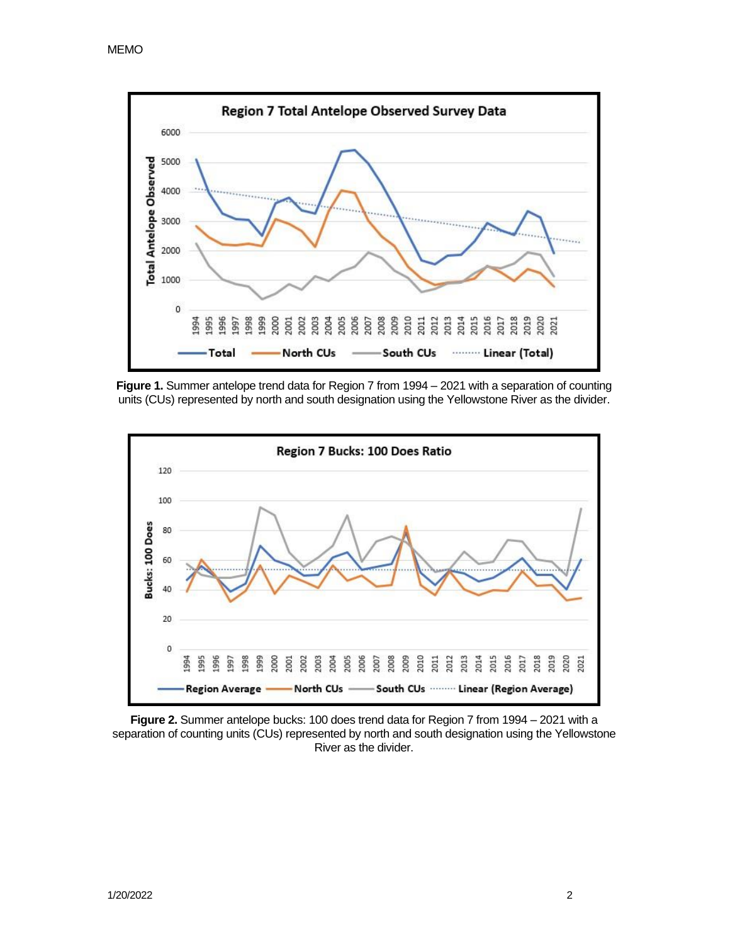

**Figure 1.** Summer antelope trend data for Region 7 from 1994 – 2021 with a separation of counting units (CUs) represented by north and south designation using the Yellowstone River as the divider.



**Figure 2.** Summer antelope bucks: 100 does trend data for Region 7 from 1994 – 2021 with a separation of counting units (CUs) represented by north and south designation using the Yellowstone River as the divider.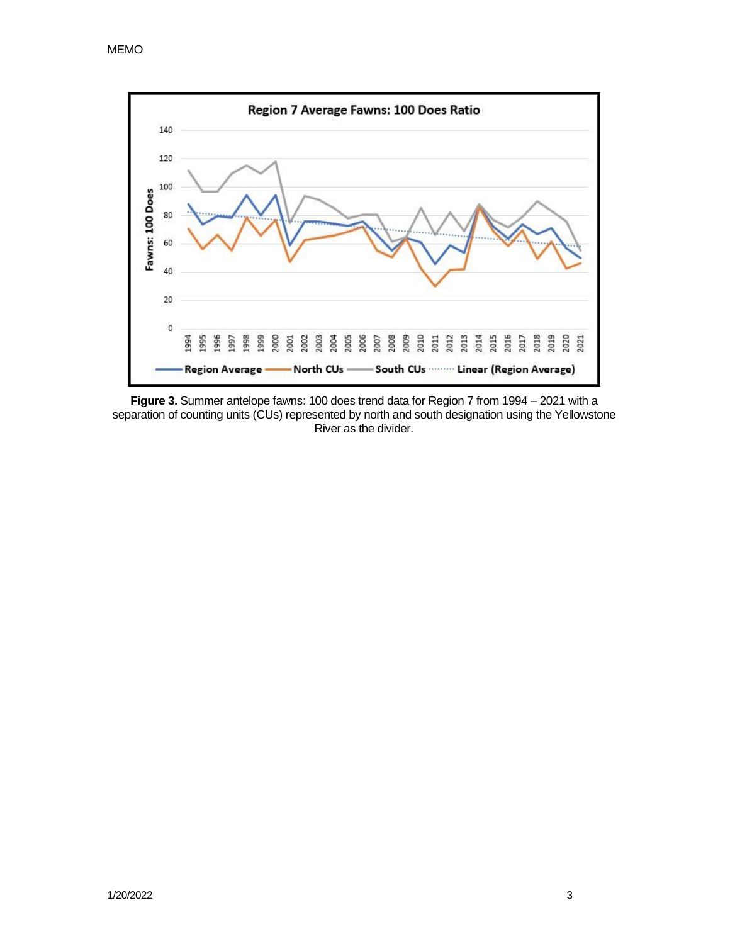



**Figure 3.** Summer antelope fawns: 100 does trend data for Region 7 from 1994 – 2021 with a separation of counting units (CUs) represented by north and south designation using the Yellowstone River as the divider.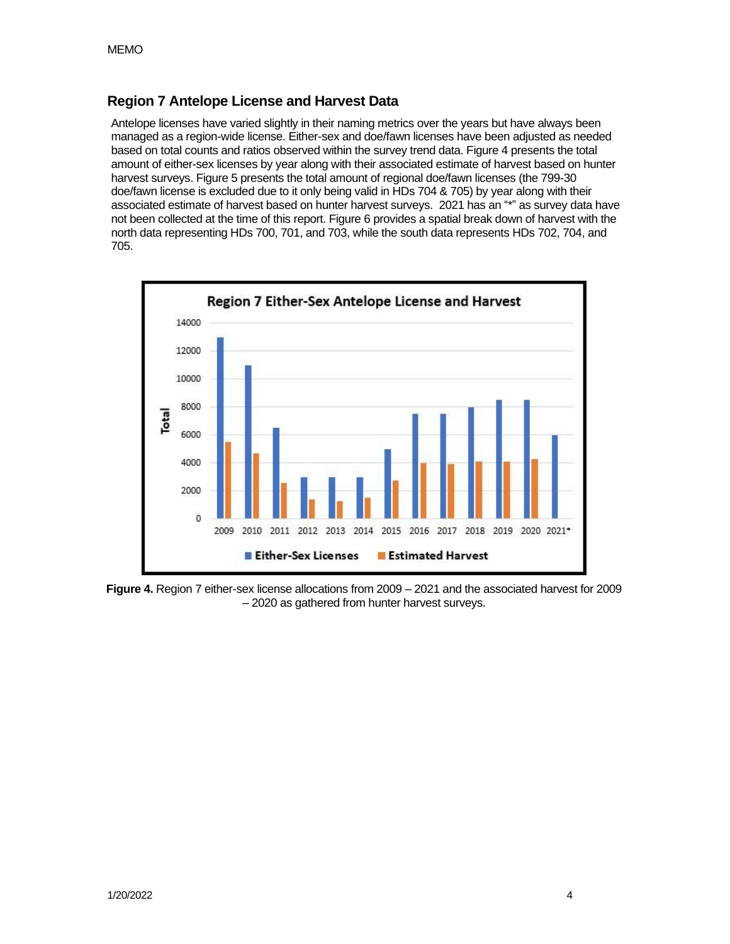## **Region 7 Antelope License and Harvest Data**

Antelope licenses have varied slightly in their naming metrics over the years but have always been managed as a region-wide license. Either-sex and doe/fawn licenses have been adjusted as needed based on total counts and ratios observed within the survey trend data. Figure 4 presents the total amount of either-sex licenses by year along with their associated estimate of harvest based on hunter harvest surveys. Figure 5 presents the total amount of regional doe/fawn licenses (the 799-30 doe/fawn license is excluded due to it only being valid in HDs 704 & 705) by year along with their associated estimate of harvest based on hunter harvest surveys. 2021 has an "\*" as survey data have not been collected at the time of this report. Figure 6 provides a spatial break down of harvest with the north data representing HDs 700, 701, and 703, while the south data represents HDs 702, 704, and 705.



**Figure 4.** Region 7 either-sex license allocations from 2009 – 2021 and the associated harvest for 2009 – 2020 as gathered from hunter harvest surveys.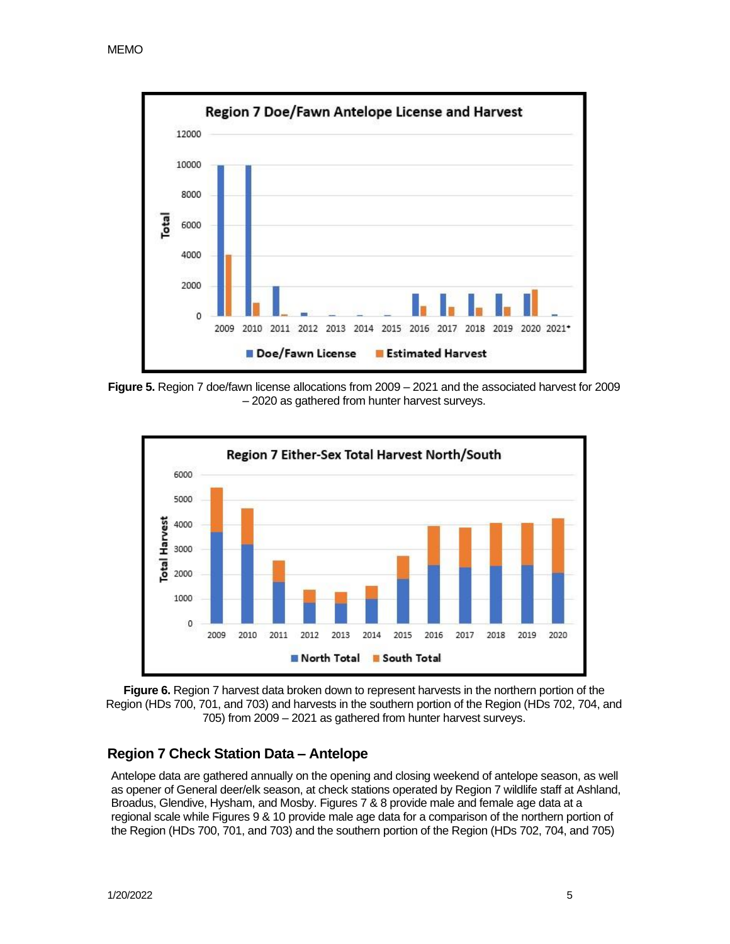

**Figure 5.** Region 7 doe/fawn license allocations from 2009 – 2021 and the associated harvest for 2009 – 2020 as gathered from hunter harvest surveys.



**Figure 6.** Region 7 harvest data broken down to represent harvests in the northern portion of the Region (HDs 700, 701, and 703) and harvests in the southern portion of the Region (HDs 702, 704, and 705) from 2009 – 2021 as gathered from hunter harvest surveys.

## **Region 7 Check Station Data – Antelope**

Antelope data are gathered annually on the opening and closing weekend of antelope season, as well as opener of General deer/elk season, at check stations operated by Region 7 wildlife staff at Ashland, Broadus, Glendive, Hysham, and Mosby. Figures 7 & 8 provide male and female age data at a regional scale while Figures 9 & 10 provide male age data for a comparison of the northern portion of the Region (HDs 700, 701, and 703) and the southern portion of the Region (HDs 702, 704, and 705)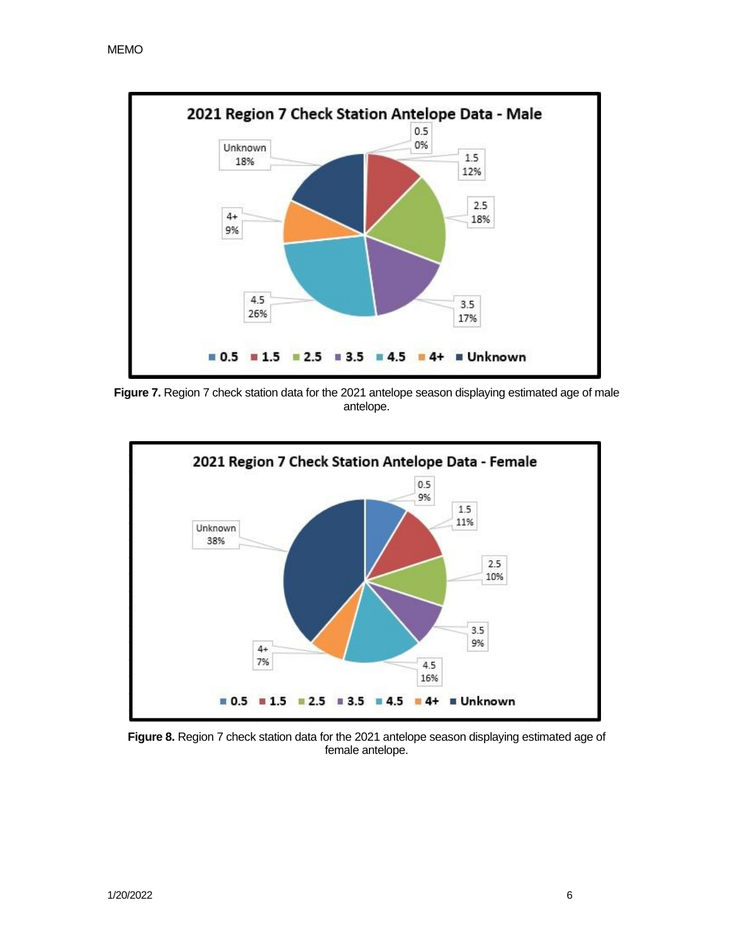

**Figure 7.** Region 7 check station data for the 2021 antelope season displaying estimated age of male antelope.



**Figure 8.** Region 7 check station data for the 2021 antelope season displaying estimated age of female antelope.